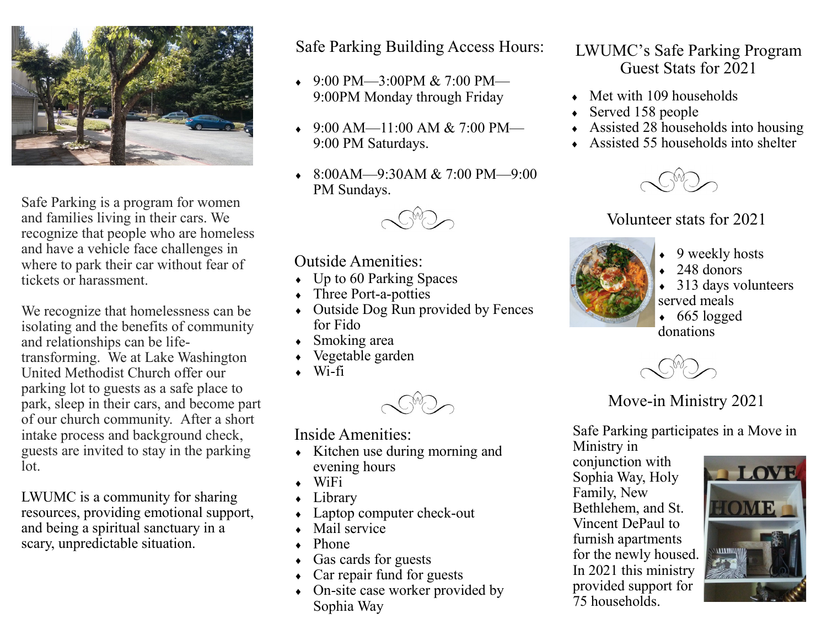

Safe Parking is a program for women and families living in their cars. We recognize that people who are homeless and have a vehicle face challenges in where to park their car without fear of tickets or harassment.

We recognize that homelessness can be isolating and the benefits of community and relationships can be lifetransforming. We at Lake Washington United Methodist Church offer our parking lot to guests as a safe place to park, sleep in their cars, and become part of our church community. After a short intake process and background check, guests are invited to stay in the parking lot.

LWUMC is a community for sharing resources, providing emotional support, and being a spiritual sanctuary in a scary, unpredictable situation.

Safe Parking Building Access Hours:

- $9:00 \text{ PM}$ —3:00PM & 7:00 PM— 9:00PM Monday through Friday
- $9:00$  AM—11:00 AM & 7:00 PM— 9:00 PM Saturdays.
- $\bullet$  8:00AM—9:30AM & 7:00 PM—9:00 PM Sundays.



#### Outside Amenities:

- $\bullet$  Up to 60 Parking Spaces
- Three Port-a-potties
- Outside Dog Run provided by Fences for Fido
- Smoking area
- Vegetable garden
- $\bullet$  Wi-fi



Inside Amenities:

- $\bullet$  Kitchen use during morning and evening hours
- WiFi
- Library
- Laptop computer check-out
- $\bullet$  Mail service
- Phone
- Gas cards for guests
- Car repair fund for guests
- On-site case worker provided by Sophia Way

### LWUMC's Safe Parking Program Guest Stats for 2021

- $\bullet$  Met with 109 households
- Served 158 people
- Assisted 28 households into housing
- $\triangle$  Assisted 55 households into shelter



## Volunteer stats for 2021



- $\rightarrow$  9 weekly hosts
- $\leftarrow$  248 donors
- 313 days volunteers served meals
- $\cdot$  665 logged donations



# Move-in Ministry 2021

Safe Parking participates in a Move in Ministry in

conjunction with Sophia Way, Holy Family, New Bethlehem, and St. Vincent DePaul to furnish apartments for the newly housed. In 2021 this ministry provided support for  $75$  households.